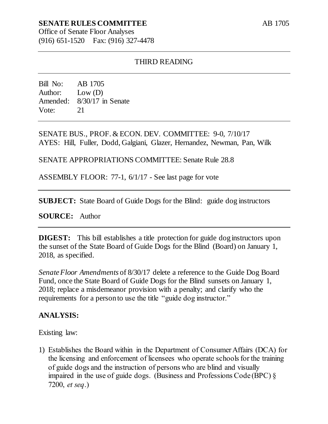# **SENATE RULES COMMITTEE**

Office of Senate Floor Analyses (916) 651-1520 Fax: (916) 327-4478

### THIRD READING

Bill No: AB 1705 Author: Low (D) Amended: 8/30/17 in Senate Vote: 21

SENATE BUS., PROF. & ECON. DEV. COMMITTEE: 9-0, 7/10/17 AYES: Hill, Fuller, Dodd, Galgiani, Glazer, Hernandez, Newman, Pan, Wilk

SENATE APPROPRIATIONS COMMITTEE: Senate Rule 28.8

ASSEMBLY FLOOR: 77-1, 6/1/17 - See last page for vote

**SUBJECT:** State Board of Guide Dogs for the Blind: guide dog instructors

**SOURCE:** Author

**DIGEST:** This bill establishes a title protection for guide dog instructors upon the sunset of the State Board of Guide Dogs for the Blind (Board) on January 1, 2018, as specified.

*Senate Floor Amendments* of 8/30/17 delete a reference to the Guide Dog Board Fund, once the State Board of Guide Dogs for the Blind sunsets on January 1, 2018; replace a misdemeanor provision with a penalty; and clarify who the requirements for a person to use the title "guide dog instructor."

#### **ANALYSIS:**

Existing law:

1) Establishes the Board within in the Department of Consumer Affairs (DCA) for the licensing and enforcement of licensees who operate schools for the training of guide dogs and the instruction of persons who are blind and visually impaired in the use of guide dogs. (Business and Professions Code (BPC) § 7200, *et seq*.)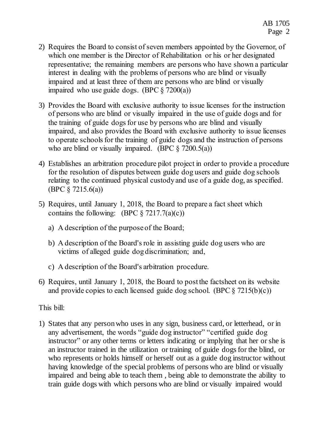- 2) Requires the Board to consist of seven members appointed by the Governor, of which one member is the Director of Rehabilitation or his or her designated representative; the remaining members are persons who have shown a particular interest in dealing with the problems of persons who are blind or visually impaired and at least three of them are persons who are blind or visually impaired who use guide dogs. (BPC  $\S$  7200(a))
- 3) Provides the Board with exclusive authority to issue licenses for the instruction of persons who are blind or visually impaired in the use of guide dogs and for the training of guide dogs for use by persons who are blind and visually impaired, and also provides the Board with exclusive authority to issue licenses to operate schools for the training of guide dogs and the instruction of persons who are blind or visually impaired. (BPC  $\S$  7200.5(a))
- 4) Establishes an arbitration procedure pilot project in order to provide a procedure for the resolution of disputes between guide dog users and guide dog schools relating to the continued physical custody and use of a guide dog, as specified. (BPC § 7215.6(a))
- 5) Requires, until January 1, 2018, the Board to prepare a fact sheet which contains the following: (BPC  $\S$  7217.7(a)(c))
	- a) A description of the purpose of the Board;
	- b) A description of the Board's role in assisting guide dog users who are victims of alleged guide dog discrimination; and,
	- c) A description of the Board's arbitration procedure.
- 6) Requires, until January 1, 2018, the Board to post the factsheet on its website and provide copies to each licensed guide dog school. (BPC  $\S 7215(b)(c)$ )

This bill:

1) States that any person who uses in any sign, business card, or letterhead, or in any advertisement, the words "guide dog instructor" "certified guide dog instructor" or any other terms or letters indicating or implying that her or she is an instructor trained in the utilization or training of guide dogs for the blind, or who represents or holds himself or herself out as a guide dog instructor without having knowledge of the special problems of persons who are blind or visually impaired and being able to teach them , being able to demonstrate the ability to train guide dogs with which persons who are blind or visually impaired would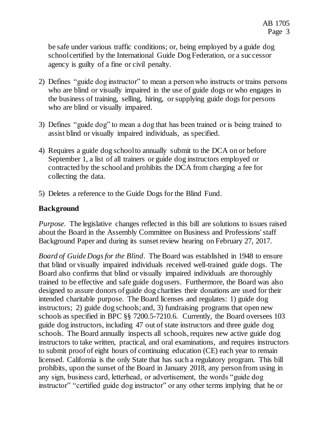be safe under various traffic conditions; or, being employed by a guide dog school certified by the International Guide Dog Federation, or a successor agency is guilty of a fine or civil penalty.

- 2) Defines "guide dog instructor" to mean a person who instructs or trains persons who are blind or visually impaired in the use of guide dogs or who engages in the business of training, selling, hiring, or supplying guide dogs for persons who are blind or visually impaired.
- 3) Defines "guide dog" to mean a dog that has been trained or is being trained to assist blind or visually impaired individuals, as specified.
- 4) Requires a guide dog school to annually submit to the DCA on or before September 1, a list of all trainers or guide dog instructors employed or contracted by the school and prohibits the DCA from charging a fee for collecting the data.
- 5) Deletes a reference to the Guide Dogs for the Blind Fund.

### **Background**

*Purpose*. The legislative changes reflected in this bill are solutions to issues raised about the Board in the Assembly Committee on Business and Professions' staff Background Paper and during its sunset review hearing on February 27, 2017.

*Board of Guide Dogs for the Blind*. The Board was established in 1948 to ensure that blind or visually impaired individuals received well-trained guide dogs. The Board also confirms that blind or visually impaired individuals are thoroughly trained to be effective and safe guide dog users. Furthermore, the Board was also designed to assure donors of guide dog charities their donations are used for their intended charitable purpose. The Board licenses and regulates: 1) guide dog instructors; 2) guide dog schools; and, 3) fundraising programs that open new schools as specified in BPC §§ 7200.5-7210.6. Currently, the Board oversees 103 guide dog instructors, including 47 out of state instructors and three guide dog schools. The Board annually inspects all schools, requires new active guide dog instructors to take written, practical, and oral examinations, and requires instructors to submit proof of eight hours of continuing education (CE) each year to remain licensed. California is the only State that has such a regulatory program. This bill prohibits, upon the sunset of the Board in January 2018, any person from using in any sign, business card, letterhead, or advertisement, the words "guide dog instructor" "certified guide dog instructor" or any other terms implying that he or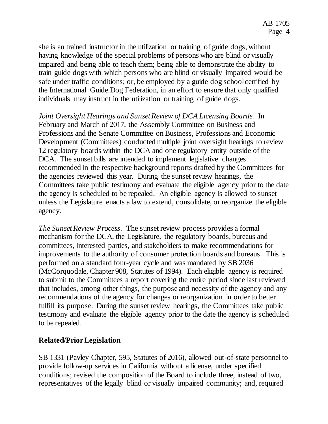she is an trained instructor in the utilization or training of guide dogs, without having knowledge of the special problems of persons who are blind or visually impaired and being able to teach them; being able to demonstrate the ability to train guide dogs with which persons who are blind or visually impaired would be safe under traffic conditions; or, be employed by a guide dog school certified by the International Guide Dog Federation, in an effort to ensure that only qualified individuals may instruct in the utilization or training of guide dogs.

*Joint Oversight Hearings and Sunset Review of DCA Licensing Boards*. In February and March of 2017, the Assembly Committee on Business and Professions and the Senate Committee on Business, Professions and Economic Development (Committees) conducted multiple joint oversight hearings to review 12 regulatory boards within the DCA and one regulatory entity outside of the DCA. The sunset bills are intended to implement legislative changes recommended in the respective background reports drafted by the Committees for the agencies reviewed this year. During the sunset review hearings, the Committees take public testimony and evaluate the eligible agency prior to the date the agency is scheduled to be repealed. An eligible agency is allowed to sunset unless the Legislature enacts a law to extend, consolidate, or reorganize the eligible agency.

*The Sunset Review Process*. The sunset review process provides a formal mechanism for the DCA, the Legislature, the regulatory boards, bureaus and committees, interested parties, and stakeholders to make recommendations for improvements to the authority of consumer protection boards and bureaus. This is performed on a standard four-year cycle and was mandated by SB 2036 (McCorquodale, Chapter 908, Statutes of 1994). Each eligible agency is required to submit to the Committees a report covering the entire period since last reviewed that includes, among other things, the purpose and necessity of the agency and any recommendations of the agency for changes or reorganization in order to better fulfill its purpose. During the sunset review hearings, the Committees take public testimony and evaluate the eligible agency prior to the date the agency is scheduled to be repealed.

## **Related/Prior Legislation**

SB 1331 (Pavley Chapter, 595, Statutes of 2016), allowed out-of-state personnel to provide follow-up services in California without a license, under specified conditions; revised the composition of the Board to include three, instead of two, representatives of the legally blind or visually impaired community; and, required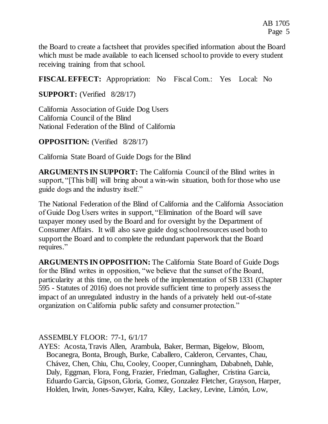the Board to create a factsheet that provides specified information about the Board which must be made available to each licensed school to provide to every student receiving training from that school.

**FISCAL EFFECT:** Appropriation: No Fiscal Com.: Yes Local: No

**SUPPORT:** (Verified 8/28/17)

California Association of Guide Dog Users California Council of the Blind National Federation of the Blind of California

**OPPOSITION:** (Verified 8/28/17)

California State Board of Guide Dogs for the Blind

**ARGUMENTS IN SUPPORT:** The California Council of the Blind writes in support, "[This bill] will bring about a win-win situation, both for those who use guide dogs and the industry itself."

The National Federation of the Blind of California and the California Association of Guide Dog Users writes in support, "Elimination of the Board will save taxpayer money used by the Board and for oversight by the Department of Consumer Affairs. It will also save guide dog school resources used both to support the Board and to complete the redundant paperwork that the Board requires."

**ARGUMENTS IN OPPOSITION:** The California State Board of Guide Dogs for the Blind writes in opposition, "we believe that the sunset of the Board, particularity at this time, on the heels of the implementation of SB 1331 (Chapter 595 - Statutes of 2016) does not provide sufficient time to properly assess the impact of an unregulated industry in the hands of a privately held out-of-state organization on California public safety and consumer protection."

ASSEMBLY FLOOR: 77-1, 6/1/17

AYES: Acosta, Travis Allen, Arambula, Baker, Berman, Bigelow, Bloom, Bocanegra, Bonta, Brough, Burke, Caballero, Calderon, Cervantes, Chau, Chávez, Chen, Chiu, Chu, Cooley, Cooper, Cunningham, Dababneh, Dahle, Daly, Eggman, Flora, Fong, Frazier, Friedman, Gallagher, Cristina Garcia, Eduardo Garcia, Gipson, Gloria, Gomez, Gonzalez Fletcher, Grayson, Harper, Holden, Irwin, Jones-Sawyer, Kalra, Kiley, Lackey, Levine, Limón, Low,